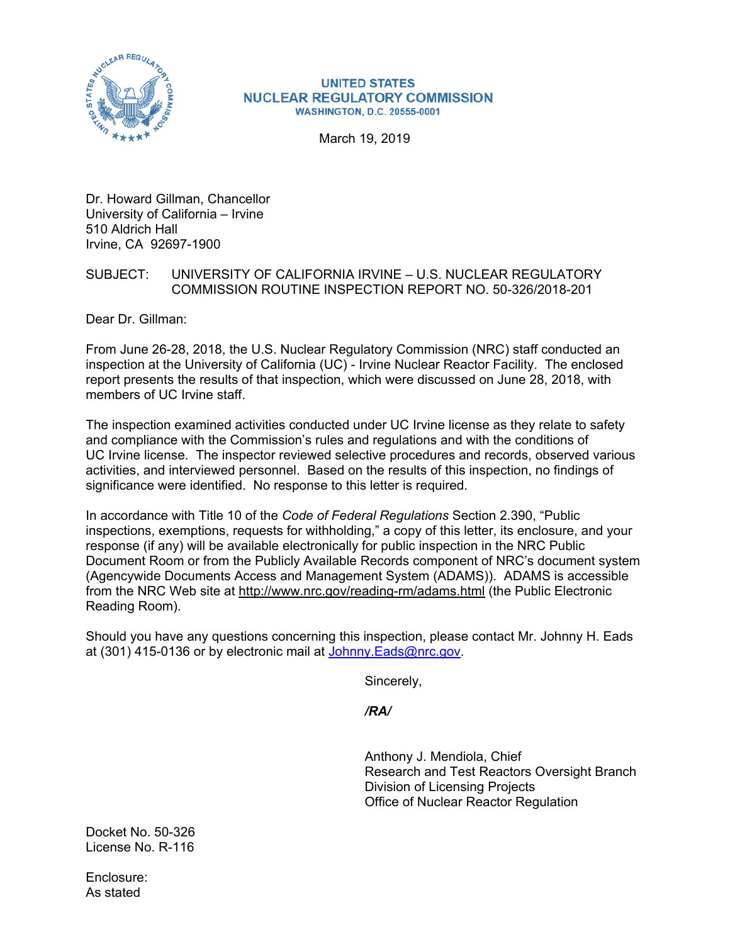

#### **UNITED STATES NUCLEAR REGULATORY COMMISSION WASHINGTON, D.C. 20555-0001**

March 19, 2019

Dr. Howard Gillman, Chancellor University of California – Irvine 510 Aldrich Hall Irvine, CA 92697-1900

### SUBJECT: UNIVERSITY OF CALIFORNIA IRVINE – U.S. NUCLEAR REGULATORY COMMISSION ROUTINE INSPECTION REPORT NO. 50-326/2018-201

Dear Dr. Gillman:

From June 26-28, 2018, the U.S. Nuclear Regulatory Commission (NRC) staff conducted an inspection at the University of California (UC) - Irvine Nuclear Reactor Facility. The enclosed report presents the results of that inspection, which were discussed on June 28, 2018, with members of UC Irvine staff.

The inspection examined activities conducted under UC Irvine license as they relate to safety and compliance with the Commission's rules and regulations and with the conditions of UC Irvine license. The inspector reviewed selective procedures and records, observed various activities, and interviewed personnel. Based on the results of this inspection, no findings of significance were identified. No response to this letter is required.

In accordance with Title 10 of the *Code of Federal Regulations* Section 2.390, "Public inspections, exemptions, requests for withholding," a copy of this letter, its enclosure, and your response (if any) will be available electronically for public inspection in the NRC Public Document Room or from the Publicly Available Records component of NRC's document system (Agencywide Documents Access and Management System (ADAMS)). ADAMS is accessible from the NRC Web site at http://www.nrc.gov/reading-rm/adams.html (the Public Electronic Reading Room).

Should you have any questions concerning this inspection, please contact Mr. Johnny H. Eads at (301) 415-0136 or by electronic mail at Johnny.Eads@nrc.gov.

Sincerely,

*/RA/* 

Anthony J. Mendiola, Chief Research and Test Reactors Oversight Branch Division of Licensing Projects Office of Nuclear Reactor Regulation

Docket No. 50-326 License No. R-116

Enclosure: As stated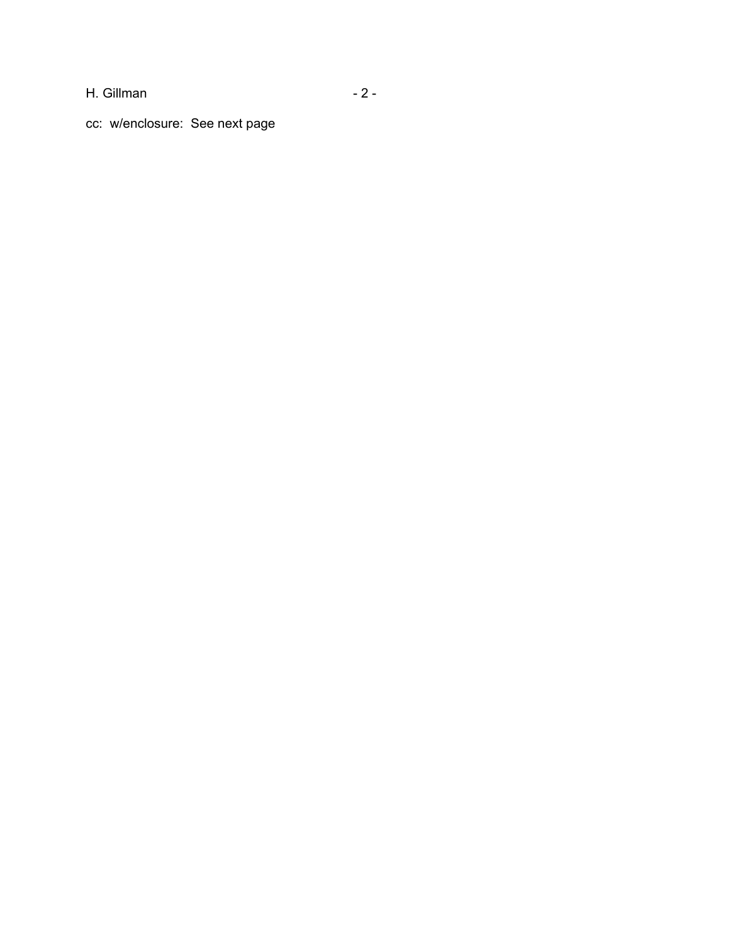H. Gillman - 2 -

cc: w/enclosure: See next page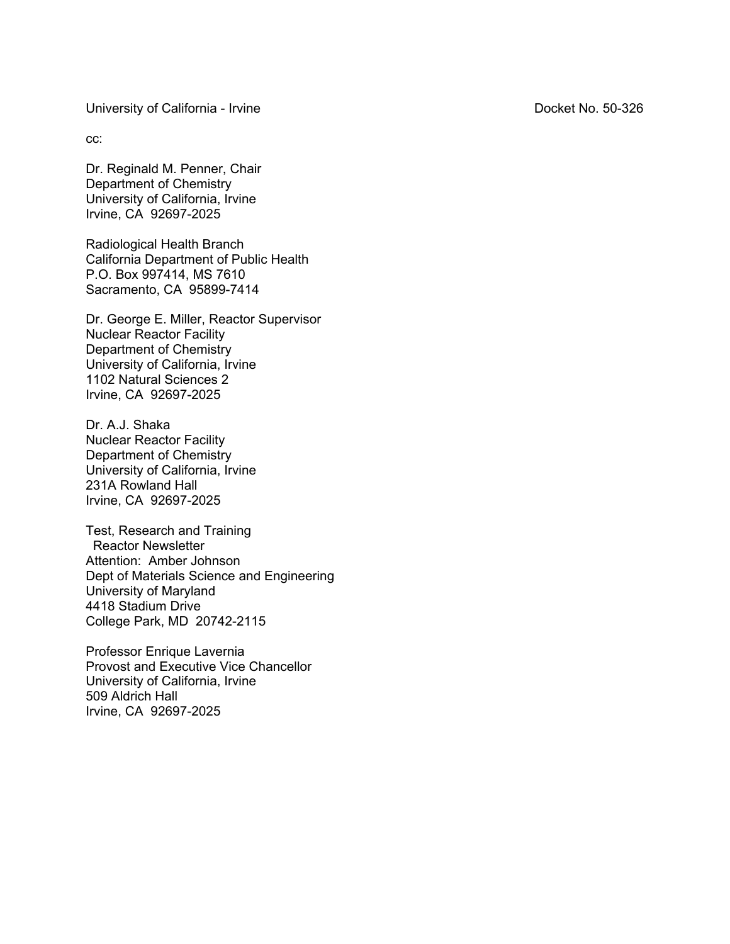University of California - Irvine University of California - Irvine Docket No. 50-326

cc:

Dr. Reginald M. Penner, Chair Department of Chemistry University of California, Irvine Irvine, CA 92697-2025

Radiological Health Branch California Department of Public Health P.O. Box 997414, MS 7610 Sacramento, CA 95899-7414

Dr. George E. Miller, Reactor Supervisor Nuclear Reactor Facility Department of Chemistry University of California, Irvine 1102 Natural Sciences 2 Irvine, CA 92697-2025

Dr. A.J. Shaka Nuclear Reactor Facility Department of Chemistry University of California, Irvine 231A Rowland Hall Irvine, CA 92697-2025

Test, Research and Training Reactor Newsletter Attention: Amber Johnson Dept of Materials Science and Engineering University of Maryland 4418 Stadium Drive College Park, MD 20742-2115

Professor Enrique Lavernia Provost and Executive Vice Chancellor University of California, Irvine 509 Aldrich Hall Irvine, CA 92697-2025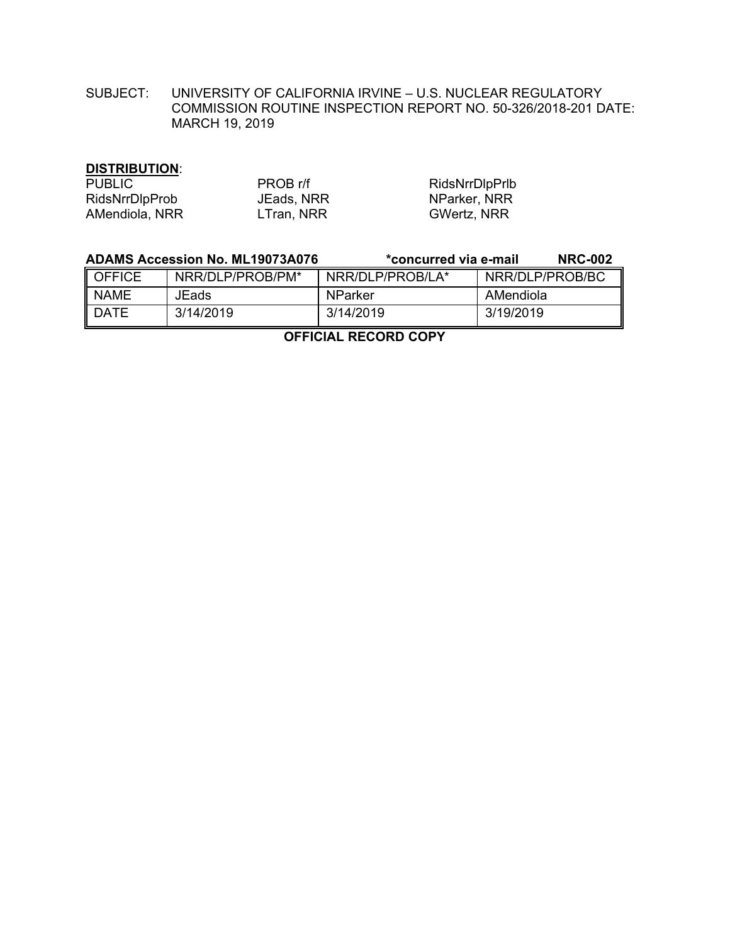SUBJECT: UNIVERSITY OF CALIFORNIA IRVINE – U.S. NUCLEAR REGULATORY COMMISSION ROUTINE INSPECTION REPORT NO. 50-326/2018-201 DATE: MARCH 19, 2019

# **DISTRIBUTION**:

| <b>PUBLIC</b>  | PROB r/f   | RidsNrrDlpPrlb     |
|----------------|------------|--------------------|
| RidsNrrDlpProb | JEads, NRR | NParker, NRR       |
| AMendiola, NRR | LTran, NRR | <b>GWertz, NRR</b> |

|               | <b>ADAMS Accession No. ML19073A076</b> | *concurred via e-mail | <b>NRC-002</b>  |
|---------------|----------------------------------------|-----------------------|-----------------|
| <b>OFFICE</b> | NRR/DLP/PROB/PM*                       | NRR/DLP/PROB/LA*      | NRR/DLP/PROB/BC |
| <b>NAME</b>   | JEads                                  | <b>NParker</b>        | AMendiola       |
| <b>DATE</b>   | 3/14/2019                              | 3/14/2019             | 3/19/2019       |

**OFFICIAL RECORD COPY**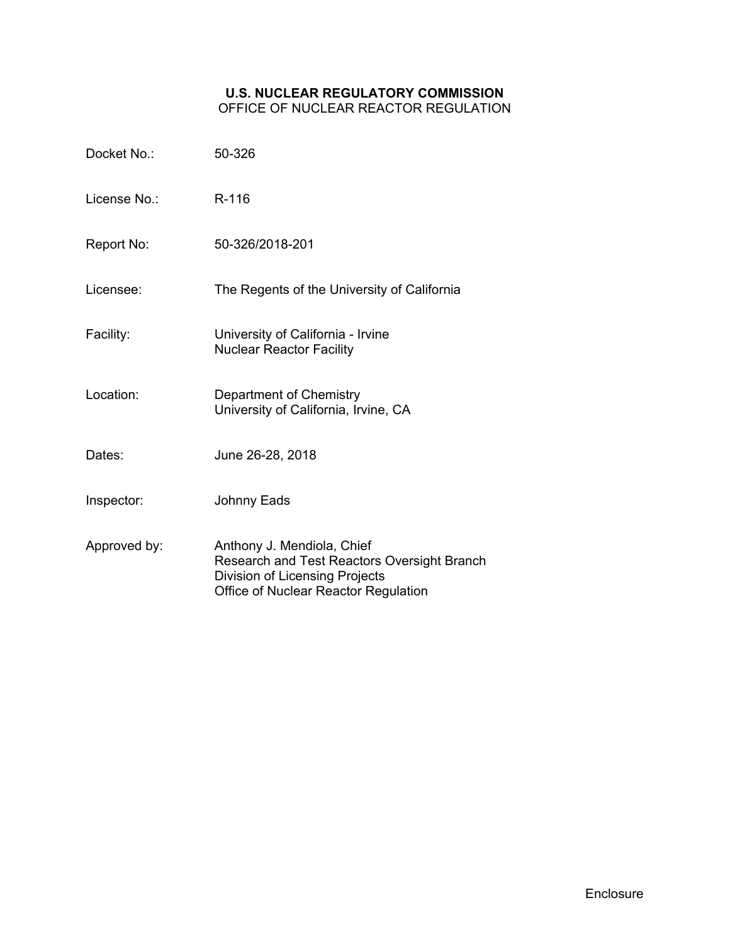### **U.S. NUCLEAR REGULATORY COMMISSION** OFFICE OF NUCLEAR REACTOR REGULATION

| Docket No.:  | 50-326                                                                                                                                              |
|--------------|-----------------------------------------------------------------------------------------------------------------------------------------------------|
| License No.: | R-116                                                                                                                                               |
| Report No:   | 50-326/2018-201                                                                                                                                     |
| Licensee:    | The Regents of the University of California                                                                                                         |
| Facility:    | University of California - Irvine<br><b>Nuclear Reactor Facility</b>                                                                                |
| Location:    | Department of Chemistry<br>University of California, Irvine, CA                                                                                     |
| Dates:       | June 26-28, 2018                                                                                                                                    |
| Inspector:   | <b>Johnny Eads</b>                                                                                                                                  |
| Approved by: | Anthony J. Mendiola, Chief<br>Research and Test Reactors Oversight Branch<br>Division of Licensing Projects<br>Office of Nuclear Reactor Regulation |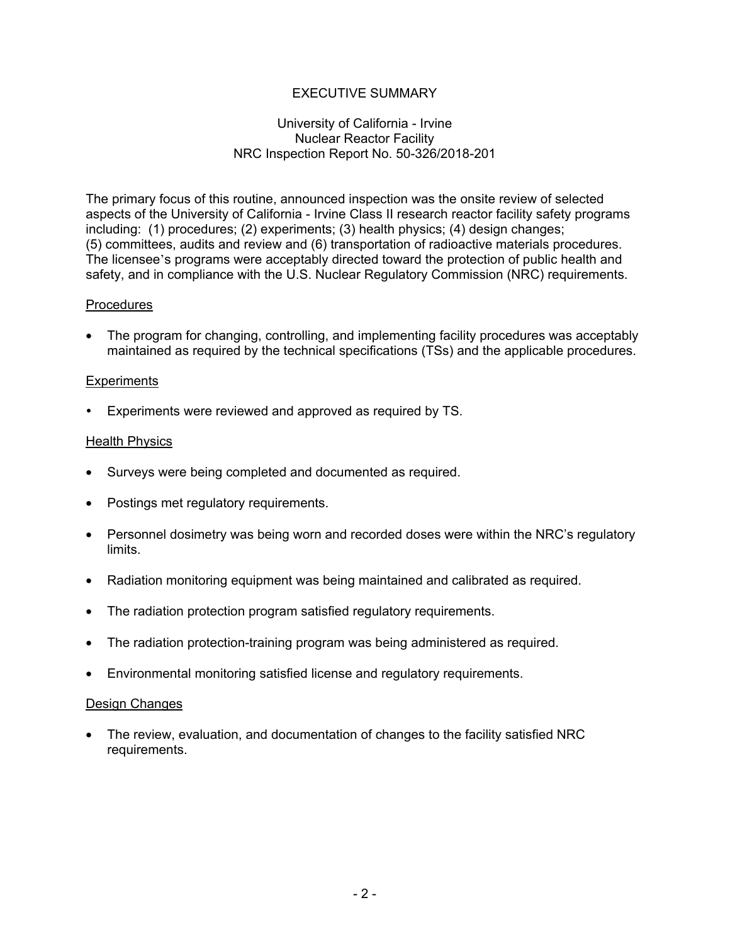# EXECUTIVE SUMMARY

### University of California - Irvine Nuclear Reactor Facility NRC Inspection Report No. 50-326/2018-201

The primary focus of this routine, announced inspection was the onsite review of selected aspects of the University of California - Irvine Class II research reactor facility safety programs including: (1) procedures; (2) experiments; (3) health physics; (4) design changes; (5) committees, audits and review and (6) transportation of radioactive materials procedures. The licensee's programs were acceptably directed toward the protection of public health and safety, and in compliance with the U.S. Nuclear Regulatory Commission (NRC) requirements.

### **Procedures**

• The program for changing, controlling, and implementing facility procedures was acceptably maintained as required by the technical specifications (TSs) and the applicable procedures.

### **Experiments**

Experiments were reviewed and approved as required by TS.

### Health Physics

- Surveys were being completed and documented as required.
- Postings met regulatory requirements.
- Personnel dosimetry was being worn and recorded doses were within the NRC's regulatory limits.
- Radiation monitoring equipment was being maintained and calibrated as required.
- The radiation protection program satisfied regulatory requirements.
- The radiation protection-training program was being administered as required.
- Environmental monitoring satisfied license and regulatory requirements.

#### Design Changes

• The review, evaluation, and documentation of changes to the facility satisfied NRC requirements.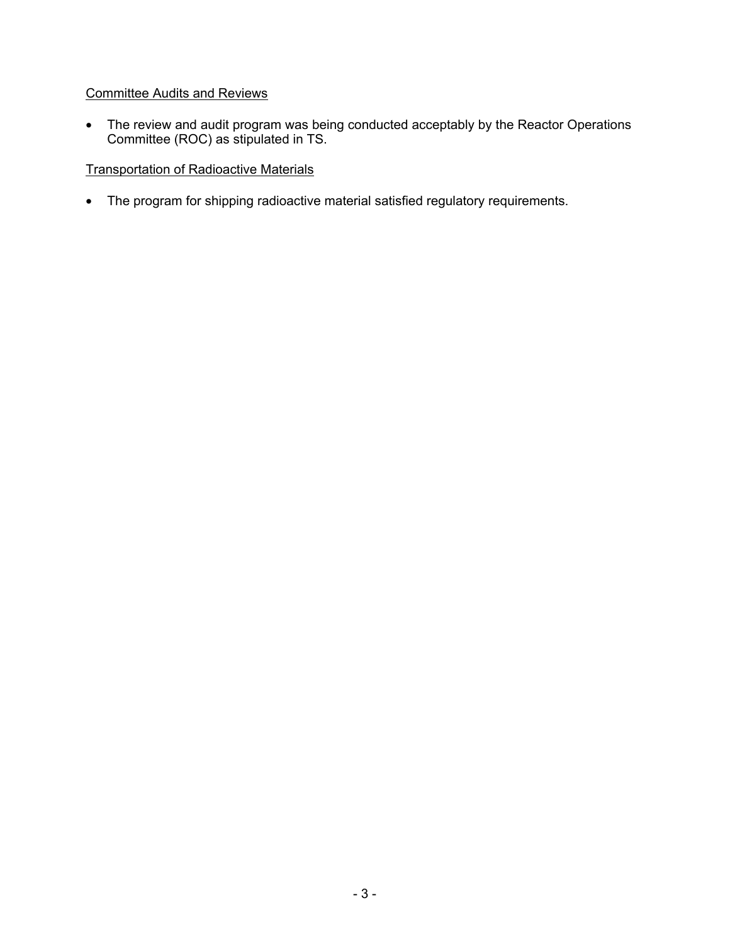# Committee Audits and Reviews

• The review and audit program was being conducted acceptably by the Reactor Operations Committee (ROC) as stipulated in TS.

# Transportation of Radioactive Materials

• The program for shipping radioactive material satisfied regulatory requirements.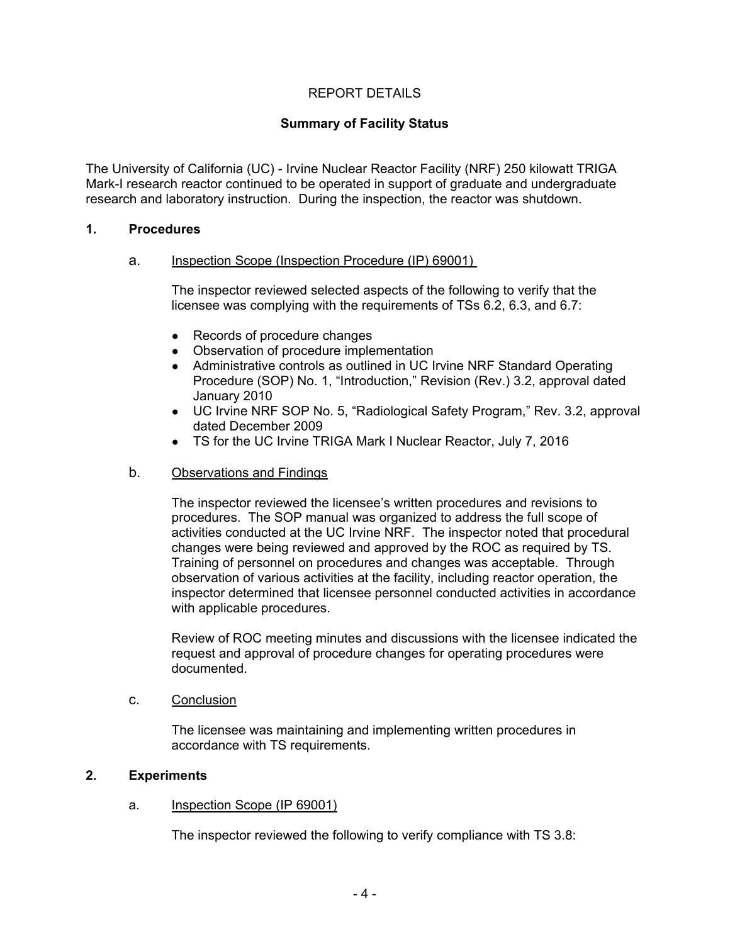# REPORT DETAILS

## **Summary of Facility Status**

The University of California (UC) - Irvine Nuclear Reactor Facility (NRF) 250 kilowatt TRIGA Mark-I research reactor continued to be operated in support of graduate and undergraduate research and laboratory instruction. During the inspection, the reactor was shutdown.

#### **1. Procedures**

### a. Inspection Scope (Inspection Procedure (IP) 69001)

The inspector reviewed selected aspects of the following to verify that the licensee was complying with the requirements of TSs 6.2, 6.3, and 6.7:

- Records of procedure changes
- Observation of procedure implementation
- Administrative controls as outlined in UC Irvine NRF Standard Operating Procedure (SOP) No. 1, "Introduction," Revision (Rev.) 3.2, approval dated January 2010
- UC Irvine NRF SOP No. 5, "Radiological Safety Program," Rev. 3.2, approval dated December 2009
- TS for the UC Irvine TRIGA Mark I Nuclear Reactor, July 7, 2016

#### b. Observations and Findings

The inspector reviewed the licensee's written procedures and revisions to procedures. The SOP manual was organized to address the full scope of activities conducted at the UC Irvine NRF. The inspector noted that procedural changes were being reviewed and approved by the ROC as required by TS. Training of personnel on procedures and changes was acceptable. Through observation of various activities at the facility, including reactor operation, the inspector determined that licensee personnel conducted activities in accordance with applicable procedures.

Review of ROC meeting minutes and discussions with the licensee indicated the request and approval of procedure changes for operating procedures were documented.

#### c. Conclusion

The licensee was maintaining and implementing written procedures in accordance with TS requirements.

# **2. Experiments**

#### a. Inspection Scope (IP 69001)

The inspector reviewed the following to verify compliance with TS 3.8: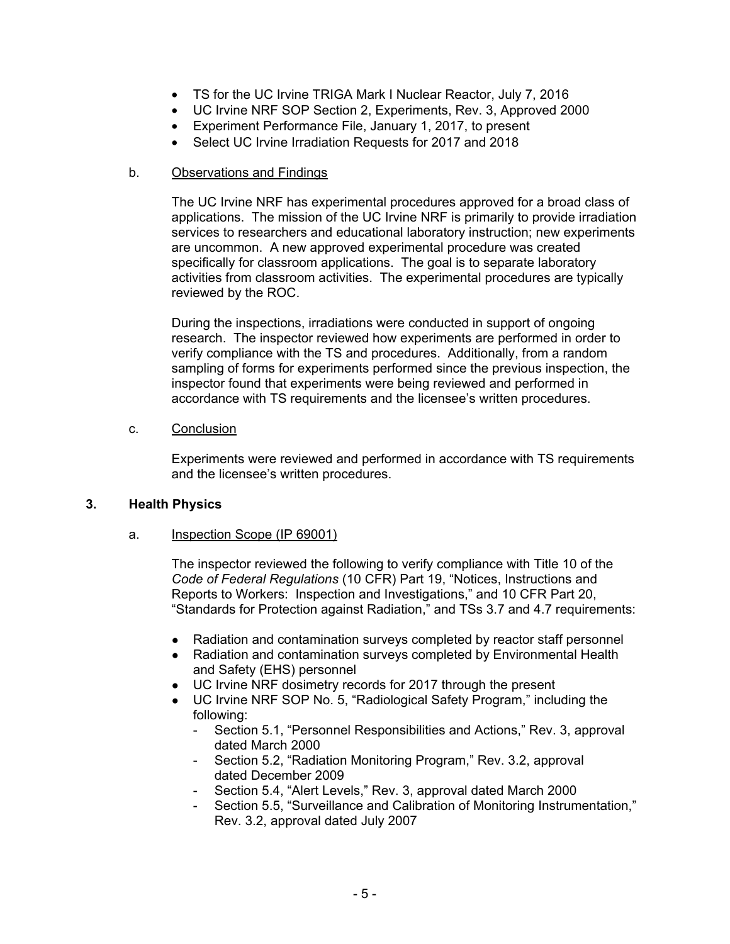- TS for the UC Irvine TRIGA Mark I Nuclear Reactor, July 7, 2016
- UC Irvine NRF SOP Section 2, Experiments, Rev. 3, Approved 2000
- Experiment Performance File, January 1, 2017, to present
- Select UC Irvine Irradiation Requests for 2017 and 2018

### b. Observations and Findings

The UC Irvine NRF has experimental procedures approved for a broad class of applications. The mission of the UC Irvine NRF is primarily to provide irradiation services to researchers and educational laboratory instruction; new experiments are uncommon. A new approved experimental procedure was created specifically for classroom applications. The goal is to separate laboratory activities from classroom activities. The experimental procedures are typically reviewed by the ROC.

During the inspections, irradiations were conducted in support of ongoing research. The inspector reviewed how experiments are performed in order to verify compliance with the TS and procedures. Additionally, from a random sampling of forms for experiments performed since the previous inspection, the inspector found that experiments were being reviewed and performed in accordance with TS requirements and the licensee's written procedures.

### c. Conclusion

Experiments were reviewed and performed in accordance with TS requirements and the licensee's written procedures.

### **3. Health Physics**

### a. Inspection Scope (IP 69001)

The inspector reviewed the following to verify compliance with Title 10 of the *Code of Federal Regulations* (10 CFR) Part 19, "Notices, Instructions and Reports to Workers: Inspection and Investigations," and 10 CFR Part 20, "Standards for Protection against Radiation," and TSs 3.7 and 4.7 requirements:

- Radiation and contamination surveys completed by reactor staff personnel
- Radiation and contamination surveys completed by Environmental Health and Safety (EHS) personnel
- UC Irvine NRF dosimetry records for 2017 through the present
- UC Irvine NRF SOP No. 5, "Radiological Safety Program," including the following:
	- Section 5.1, "Personnel Responsibilities and Actions," Rev. 3, approval dated March 2000
	- Section 5.2, "Radiation Monitoring Program," Rev. 3.2, approval dated December 2009
	- Section 5.4, "Alert Levels," Rev. 3, approval dated March 2000
	- Section 5.5, "Surveillance and Calibration of Monitoring Instrumentation," Rev. 3.2, approval dated July 2007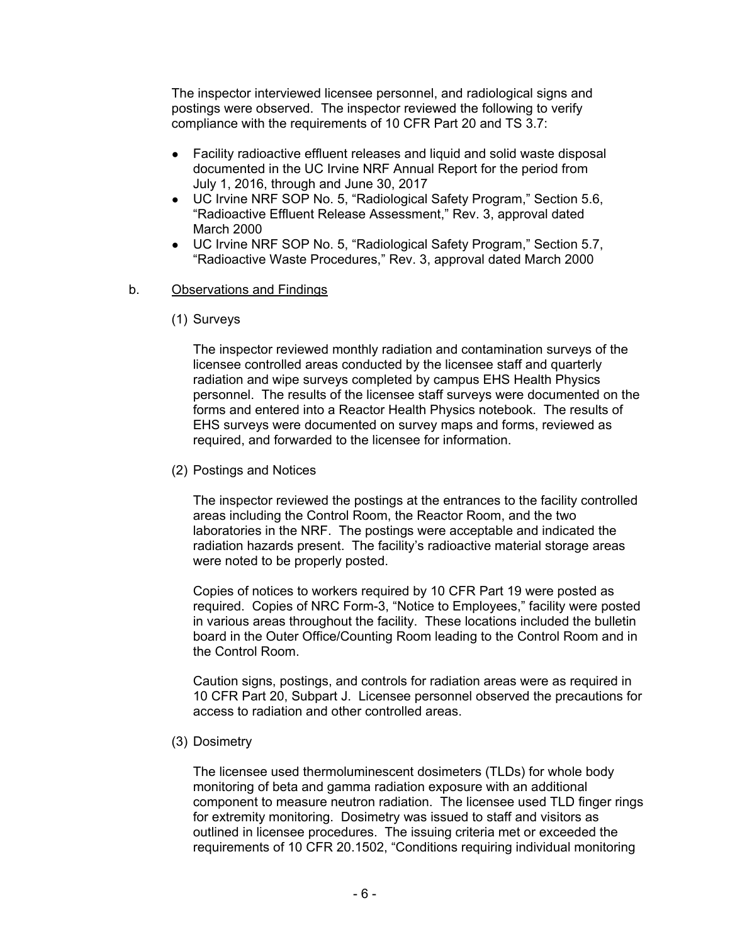The inspector interviewed licensee personnel, and radiological signs and postings were observed. The inspector reviewed the following to verify compliance with the requirements of 10 CFR Part 20 and TS 3.7:

- Facility radioactive effluent releases and liquid and solid waste disposal documented in the UC Irvine NRF Annual Report for the period from July 1, 2016, through and June 30, 2017
- UC Irvine NRF SOP No. 5, "Radiological Safety Program," Section 5.6, "Radioactive Effluent Release Assessment," Rev. 3, approval dated March 2000
- UC Irvine NRF SOP No. 5, "Radiological Safety Program," Section 5.7, "Radioactive Waste Procedures," Rev. 3, approval dated March 2000

### b. Observations and Findings

(1) Surveys

The inspector reviewed monthly radiation and contamination surveys of the licensee controlled areas conducted by the licensee staff and quarterly radiation and wipe surveys completed by campus EHS Health Physics personnel. The results of the licensee staff surveys were documented on the forms and entered into a Reactor Health Physics notebook. The results of EHS surveys were documented on survey maps and forms, reviewed as required, and forwarded to the licensee for information.

(2) Postings and Notices

The inspector reviewed the postings at the entrances to the facility controlled areas including the Control Room, the Reactor Room, and the two laboratories in the NRF. The postings were acceptable and indicated the radiation hazards present. The facility's radioactive material storage areas were noted to be properly posted.

Copies of notices to workers required by 10 CFR Part 19 were posted as required. Copies of NRC Form-3, "Notice to Employees," facility were posted in various areas throughout the facility. These locations included the bulletin board in the Outer Office/Counting Room leading to the Control Room and in the Control Room.

Caution signs, postings, and controls for radiation areas were as required in 10 CFR Part 20, Subpart J. Licensee personnel observed the precautions for access to radiation and other controlled areas.

(3) Dosimetry

The licensee used thermoluminescent dosimeters (TLDs) for whole body monitoring of beta and gamma radiation exposure with an additional component to measure neutron radiation. The licensee used TLD finger rings for extremity monitoring. Dosimetry was issued to staff and visitors as outlined in licensee procedures. The issuing criteria met or exceeded the requirements of 10 CFR 20.1502, "Conditions requiring individual monitoring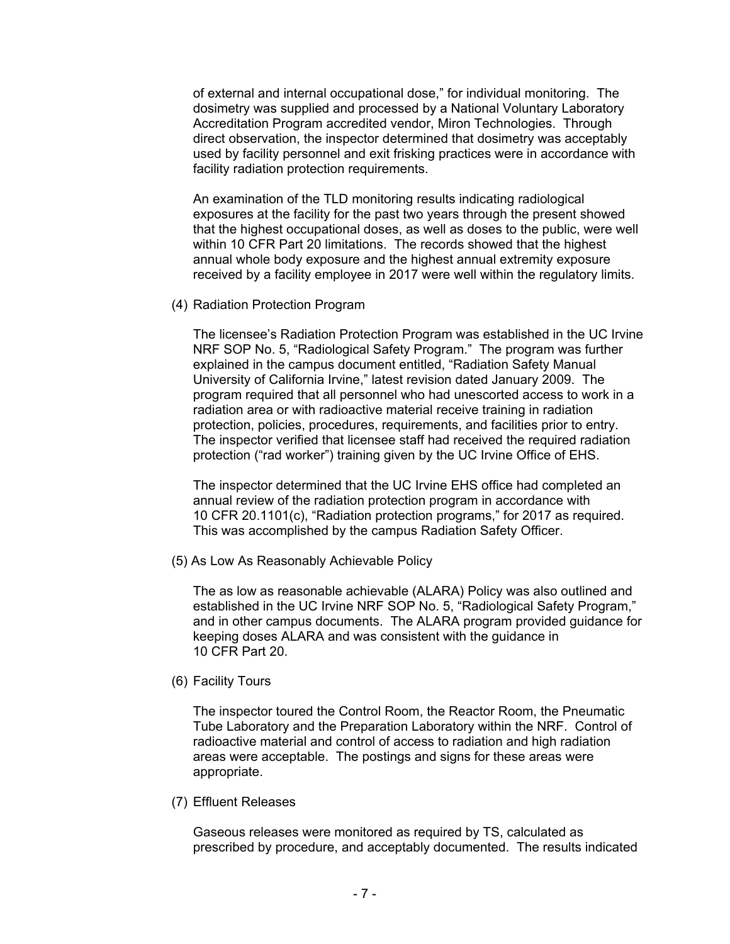of external and internal occupational dose," for individual monitoring. The dosimetry was supplied and processed by a National Voluntary Laboratory Accreditation Program accredited vendor, Miron Technologies. Through direct observation, the inspector determined that dosimetry was acceptably used by facility personnel and exit frisking practices were in accordance with facility radiation protection requirements.

An examination of the TLD monitoring results indicating radiological exposures at the facility for the past two years through the present showed that the highest occupational doses, as well as doses to the public, were well within 10 CFR Part 20 limitations. The records showed that the highest annual whole body exposure and the highest annual extremity exposure received by a facility employee in 2017 were well within the regulatory limits.

(4) Radiation Protection Program

The licensee's Radiation Protection Program was established in the UC Irvine NRF SOP No. 5, "Radiological Safety Program." The program was further explained in the campus document entitled, "Radiation Safety Manual University of California Irvine," latest revision dated January 2009. The program required that all personnel who had unescorted access to work in a radiation area or with radioactive material receive training in radiation protection, policies, procedures, requirements, and facilities prior to entry. The inspector verified that licensee staff had received the required radiation protection ("rad worker") training given by the UC Irvine Office of EHS.

The inspector determined that the UC Irvine EHS office had completed an annual review of the radiation protection program in accordance with 10 CFR 20.1101(c), "Radiation protection programs," for 2017 as required. This was accomplished by the campus Radiation Safety Officer.

(5) As Low As Reasonably Achievable Policy

The as low as reasonable achievable (ALARA) Policy was also outlined and established in the UC Irvine NRF SOP No. 5, "Radiological Safety Program," and in other campus documents. The ALARA program provided guidance for keeping doses ALARA and was consistent with the guidance in 10 CFR Part 20.

(6) Facility Tours

The inspector toured the Control Room, the Reactor Room, the Pneumatic Tube Laboratory and the Preparation Laboratory within the NRF. Control of radioactive material and control of access to radiation and high radiation areas were acceptable. The postings and signs for these areas were appropriate.

(7) Effluent Releases

Gaseous releases were monitored as required by TS, calculated as prescribed by procedure, and acceptably documented. The results indicated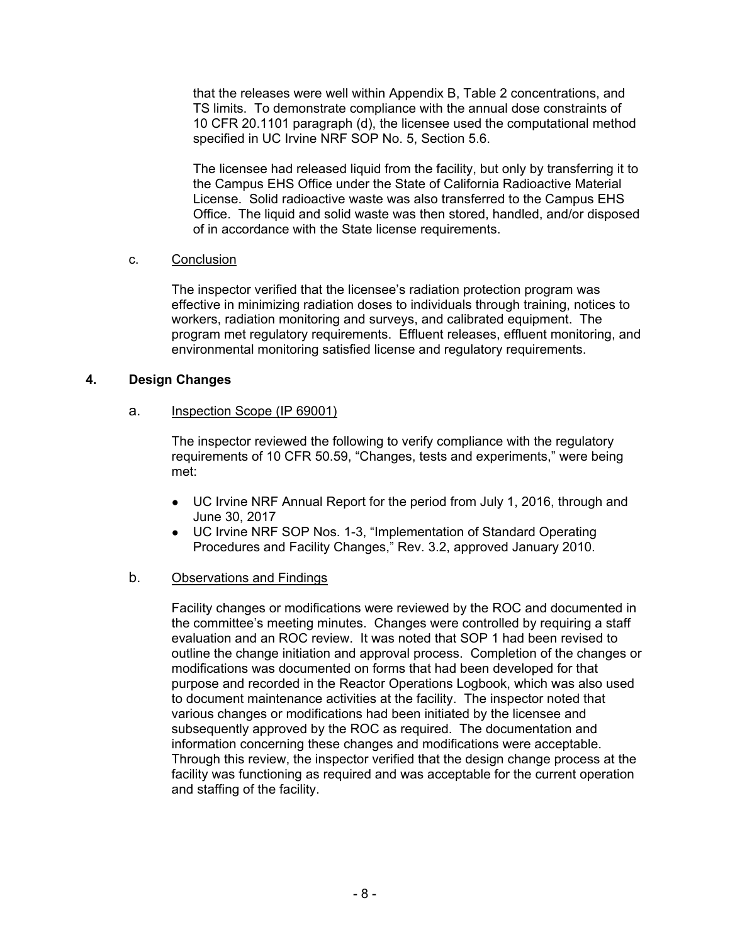that the releases were well within Appendix B, Table 2 concentrations, and TS limits. To demonstrate compliance with the annual dose constraints of 10 CFR 20.1101 paragraph (d), the licensee used the computational method specified in UC Irvine NRF SOP No. 5, Section 5.6.

The licensee had released liquid from the facility, but only by transferring it to the Campus EHS Office under the State of California Radioactive Material License. Solid radioactive waste was also transferred to the Campus EHS Office. The liquid and solid waste was then stored, handled, and/or disposed of in accordance with the State license requirements.

### c. Conclusion

The inspector verified that the licensee's radiation protection program was effective in minimizing radiation doses to individuals through training, notices to workers, radiation monitoring and surveys, and calibrated equipment. The program met regulatory requirements. Effluent releases, effluent monitoring, and environmental monitoring satisfied license and regulatory requirements.

### **4. Design Changes**

### a. Inspection Scope (IP 69001)

The inspector reviewed the following to verify compliance with the regulatory requirements of 10 CFR 50.59, "Changes, tests and experiments," were being met:

- UC Irvine NRF Annual Report for the period from July 1, 2016, through and June 30, 2017
- UC Irvine NRF SOP Nos. 1-3, "Implementation of Standard Operating Procedures and Facility Changes," Rev. 3.2, approved January 2010.

### b. Observations and Findings

Facility changes or modifications were reviewed by the ROC and documented in the committee's meeting minutes. Changes were controlled by requiring a staff evaluation and an ROC review. It was noted that SOP 1 had been revised to outline the change initiation and approval process. Completion of the changes or modifications was documented on forms that had been developed for that purpose and recorded in the Reactor Operations Logbook, which was also used to document maintenance activities at the facility. The inspector noted that various changes or modifications had been initiated by the licensee and subsequently approved by the ROC as required. The documentation and information concerning these changes and modifications were acceptable. Through this review, the inspector verified that the design change process at the facility was functioning as required and was acceptable for the current operation and staffing of the facility.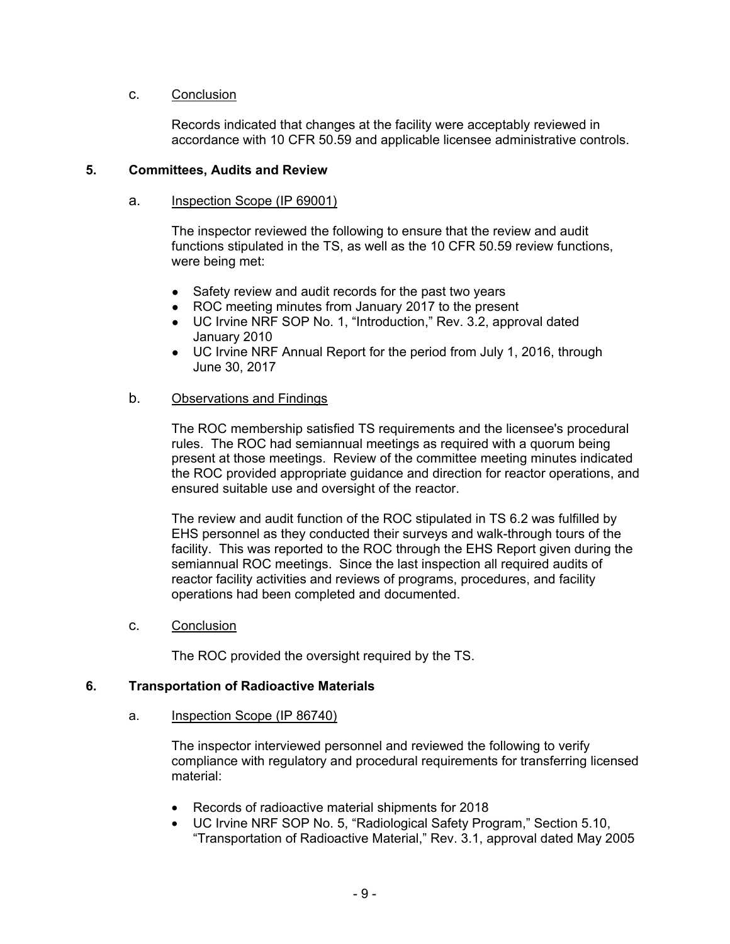### c. Conclusion

Records indicated that changes at the facility were acceptably reviewed in accordance with 10 CFR 50.59 and applicable licensee administrative controls.

### **5. Committees, Audits and Review**

#### a. Inspection Scope (IP 69001)

The inspector reviewed the following to ensure that the review and audit functions stipulated in the TS, as well as the 10 CFR 50.59 review functions, were being met:

- Safety review and audit records for the past two years
- ROC meeting minutes from January 2017 to the present
- UC Irvine NRF SOP No. 1, "Introduction," Rev. 3.2, approval dated January 2010
- UC Irvine NRF Annual Report for the period from July 1, 2016, through June 30, 2017

### b. Observations and Findings

The ROC membership satisfied TS requirements and the licensee's procedural rules. The ROC had semiannual meetings as required with a quorum being present at those meetings. Review of the committee meeting minutes indicated the ROC provided appropriate guidance and direction for reactor operations, and ensured suitable use and oversight of the reactor.

The review and audit function of the ROC stipulated in TS 6.2 was fulfilled by EHS personnel as they conducted their surveys and walk-through tours of the facility. This was reported to the ROC through the EHS Report given during the semiannual ROC meetings. Since the last inspection all required audits of reactor facility activities and reviews of programs, procedures, and facility operations had been completed and documented.

c. Conclusion

The ROC provided the oversight required by the TS.

#### **6. Transportation of Radioactive Materials**

a. Inspection Scope (IP 86740)

The inspector interviewed personnel and reviewed the following to verify compliance with regulatory and procedural requirements for transferring licensed material:

- Records of radioactive material shipments for 2018
- UC Irvine NRF SOP No. 5, "Radiological Safety Program," Section 5.10, "Transportation of Radioactive Material," Rev. 3.1, approval dated May 2005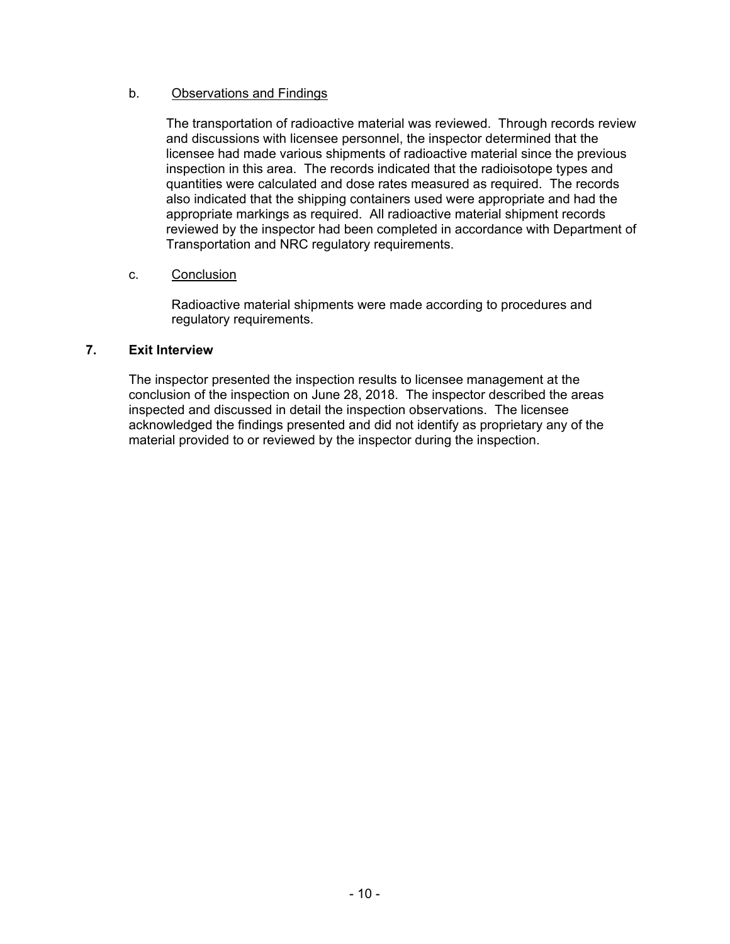# b. Observations and Findings

The transportation of radioactive material was reviewed. Through records review and discussions with licensee personnel, the inspector determined that the licensee had made various shipments of radioactive material since the previous inspection in this area. The records indicated that the radioisotope types and quantities were calculated and dose rates measured as required. The records also indicated that the shipping containers used were appropriate and had the appropriate markings as required. All radioactive material shipment records reviewed by the inspector had been completed in accordance with Department of Transportation and NRC regulatory requirements.

### c. Conclusion

Radioactive material shipments were made according to procedures and regulatory requirements.

### **7. Exit Interview**

The inspector presented the inspection results to licensee management at the conclusion of the inspection on June 28, 2018. The inspector described the areas inspected and discussed in detail the inspection observations. The licensee acknowledged the findings presented and did not identify as proprietary any of the material provided to or reviewed by the inspector during the inspection.